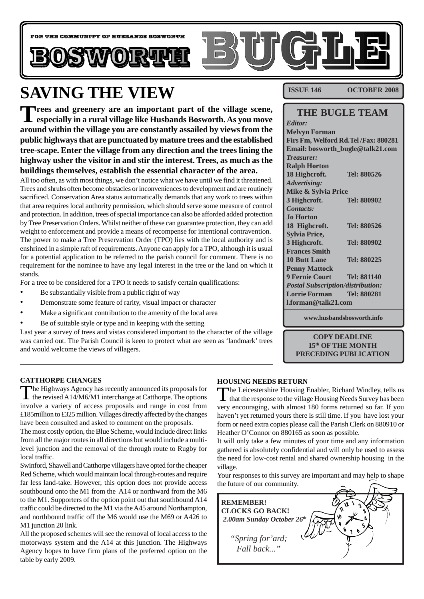

# **SAVING THE VIEW**

**Trees and greenery are an important part of the village scene, especially in a rural village like Husbands Bosworth. As you move around within the village you are constantly assailed by views from the public highways that are punctuated by mature trees and the established tree-scape. Enter the village from any direction and the trees lining the highway usher the visitor in and stir the interest. Trees, as much as the buildings themselves, establish the essential character of the area.**

All too often, as with most things, we don't notice what we have until we find it threatened. Trees and shrubs often become obstacles or inconveniences to development and are routinely sacrificed. Conservation Area status automatically demands that any work to trees within that area requires local authority permission, which should serve some measure of control and protection. In addition, trees of special importance can also be afforded added protection by Tree Preservation Orders. Whilst neither of these can guarantee protection, they can add weight to enforcement and provide a means of recompense for intentional contravention. The power to make a Tree Preservation Order (TPO) lies with the local authority and is enshrined in a simple raft of requirements. Anyone can apply for a TPO, although it is usual for a potential application to be referred to the parish council for comment. There is no requirement for the nominee to have any legal interest in the tree or the land on which it stands.

For a tree to be considered for a TPO it needs to satisfy certain qualifications:

- Be substantially visible from a public right of way
- Demonstrate some feature of rarity, visual impact or character
- Make a significant contribution to the amenity of the local area
- Be of suitable style or type and in keeping with the setting

Last year a survey of trees and vistas considered important to the character of the village was carried out. The Parish Council is keen to protect what are seen as 'landmark' trees and would welcome the views of villagers.

**ISSUE 146 OCTOBER 2008**

#### **THE BUGLE TEAM**

| <b>Editor:</b>                           |                    |  |
|------------------------------------------|--------------------|--|
| <b>Melvyn Forman</b>                     |                    |  |
| Firs Fm, Welford Rd. Tel /Fax: 880281    |                    |  |
| Email: bosworth_bugle@talk21.com         |                    |  |
| <i>Treasurer:</i>                        |                    |  |
| <b>Ralph Horton</b>                      |                    |  |
| 18 Highcroft.                            | Tel: 880526        |  |
| <b>Advertising:</b>                      |                    |  |
| Mike & Sylvia Price                      |                    |  |
| 3 Highcroft.                             | Tel: 880902        |  |
| Contacts:                                |                    |  |
| <b>Jo Horton</b>                         |                    |  |
| 18 Highcroft.                            | Tel: 880526        |  |
| <b>Sylvia Price,</b>                     |                    |  |
| 3 Highcroft.                             | Tel: 880902        |  |
| <b>Frances Smith</b>                     |                    |  |
| <b>10 Butt Lane</b>                      | Tel: 880225        |  |
| <b>Penny Mattock</b>                     |                    |  |
| <b>9 Fernie Court</b>                    | <b>Tel: 881140</b> |  |
| <b>Postal Subscription/distribution:</b> |                    |  |
| <b>Lorrie Forman</b>                     | Tel: 880281        |  |
| <b>Lforman@talk21.com</b>                |                    |  |

**www.husbandsbosworth.info**

**COPY DEADLINE 15th OF THE MONTH PRECEDING PUBLICATION**

#### **CATTHORPE CHANGES**

The Highways Agency has recently announced its proposals for the revised A14/M6/M1 interchange at Catthorpe. The options involve a variety of access proposals and range in cost from £185million to £325 million. Villages directly affected by the changes have been consulted and asked to comment on the proposals.

The most costly option, the Blue Scheme, would include direct links from all the major routes in all directions but would include a multilevel junction and the removal of the through route to Rugby for local traffic.

Swinford, Shawell and Catthorpe villagers have opted for the cheaper Red Scheme, which would maintain local through-routes and require far less land-take. However, this option does not provide access southbound onto the M1 from the A14 or northward from the M6 to the M1. Supporters of the option point out that southbound A14 traffic could be directed to the M1 via the A45 around Northampton, and northbound traffic off the M6 would use the M69 or A426 to M1 junction 20 link.

All the proposed schemes will see the removal of local access to the motorways system and the A14 at this junction. The Highways Agency hopes to have firm plans of the preferred option on the table by early 2009.

#### **HOUSING NEEDS RETURN**

The Leicestershire Housing Enabler, Richard Windley, tells us that the response to the village Housing Needs Survey has been very encouraging, with almost 180 forms returned so far. If you haven't yet returned yours there is still time. If you have lost your form or need extra copies please call the Parish Clerk on 880910 or Heather O'Connor on 880165 as soon as possible.

It will only take a few minutes of your time and any information gathered is absolutely confidential and will only be used to assess the need for low-cost rental and shared ownership housing in the village.

Your responses to this survey are important and may help to shape the future of our community.

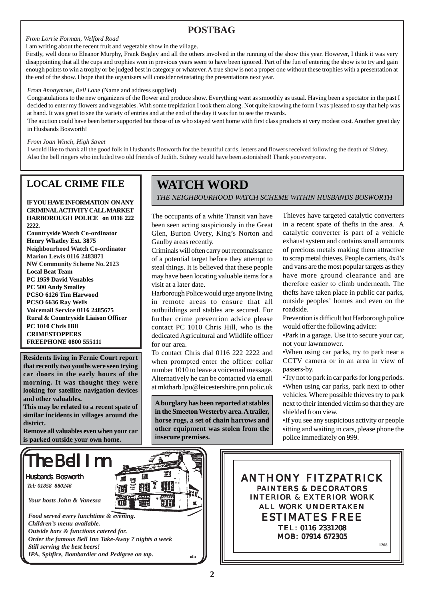## **POSTBAG**

#### *From Lorrie Forman, Welford Road* I am writing about the recent fruit and vegetable show in the village.

Firstly, well done to Eleanor Murphy, Frank Begley and all the others involved in the running of the show this year. However, I think it was very disappointing that all the cups and trophies won in previous years seem to have been ignored. Part of the fun of entering the show is to try and gain enough points to win a trophy or be judged best in category or whatever. A true show is not a proper one without these trophies with a presentation at the end of the show. I hope that the organisers will consider reinstating the presentations next year.

#### *From Anonymous, Bell Lane* (Name and address supplied)

Congratulations to the new organizers of the flower and produce show. Everything went as smoothly as usual. Having been a spectator in the past I decided to enter my flowers and vegetables. With some trepidation I took them along. Not quite knowing the form I was pleased to say that help was at hand. It was great to see the variety of entries and at the end of the day it was fun to see the rewards.

The auction could have been better supported but those of us who stayed went home with first class products at very modest cost. Another great day in Husbands Bosworth!

#### *From Joan Winch, High Street*

I would like to thank all the good folk in Husbands Bosworth for the beautiful cards, letters and flowers received following the death of Sidney. Also the bell ringers who included two old friends of Judith. Sidney would have been astonished! Thank you everyone.

### **LOCAL CRIME FILE**

**IF YOU HAVE INFORMATION ON ANY CRIMINAL ACTIVITY CALL MARKET HARBOROUGH POLICE on 0116 222 2222.**

**Countryside Watch Co-ordinator Henry Whatley Ext. 3875 Neighbourhood Watch Co-ordinator Marion Lewis 0116 2483871 NW Community Scheme No. 2123 Local Beat Team PC 1959 David Venables PC 500 Andy Smalley PCSO 6126 Tim Harwood PCSO 6636 Ray Wells Voicemail Service 0116 2485675 Rural & Countryside Liaison Officer PC 1010 Chris Hill CRIMESTOPPERS FREEPHONE 0800 555111**

**Residents living in Fernie Court report that recently two youths were seen trying car doors in the early hours of the morning. It was thought they were looking for satellite navigation devices and other valuables.**

**This may be related to a recent spate of similar incidents in villages around the district.**

**Remove all valuables even when your car is parked outside your own home.**

## **WATCH WORD**

*THE NEIGHBOURHOOD WATCH SCHEME WITHIN HUSBANDS BOSWORTH*

The occupants of a white Transit van have been seen acting suspiciously in the Great Glen, Burton Overy, King's Norton and Gaulby areas recently.

Criminals will often carry out reconnaissance of a potential target before they attempt to steal things. It is believed that these people may have been locating valuable items for a visit at a later date.

Harborough Police would urge anyone living in remote areas to ensure that all outbuildings and stables are secured. For further crime prevention advice please contact PC 1010 Chris Hill, who is the dedicated Agricultural and Wildlife officer for our area.

To contact Chris dial 0116 222 2222 and when prompted enter the officer collar number 1010 to leave a voicemail message. Alternatively he can be contacted via email at mktharb.lpu@leicestershire.pnn.polic.uk

**A burglary has been reported at stables in the Smeeton Westerby area. A trailer, horse rugs, a set of chain harrows and other equipment was stolen from the insecure premises.**

Thieves have targeted catalytic converters in a recent spate of thefts in the area. A catalytic converter is part of a vehicle exhaust system and contains small amounts of precious metals making them attractive to scrap metal thieves. People carriers, 4x4's and vans are the most popular targets as they have more ground clearance and are therefore easier to climb underneath. The thefts have taken place in public car parks, outside peoples' homes and even on the roadside.

Prevention is difficult but Harborough police would offer the following advice:

•Park in a garage. Use it to secure your car, not your lawnmower.

•When using car parks, try to park near a CCTV camera or in an area in view of passers-by.

•Try not to park in car parks for long periods. •When using car parks, park next to other vehicles. Where possible thieves try to park next to their intended victim so that they are shielded from view.

•If you see any suspicious activity or people sitting and waiting in cars, please phone the police immediately on 999.

ANTHONY FITZPATRICK PAINTERS & DECORATORS INTERIOR & EXTERIOR WORK ALL WORK UNDERTAKEN ESTIMATES FREE TEL: 0116 2331208 MOB: 07914 672305 **1208**

The Bell I Husbands Bosworth

*Tel: 01858 880246*

*Your hosts John & Vanessa*

*Food served every lunchtime & evening. Children's menu available. Outside bars & functions catered for. Order the famous Bell Inn Take-Away 7 nights a week Still serving the best beers! IPA, Spitfire, Bombardier and Pedigree on tap.*  $\mathbf{u}_{\text{min}}$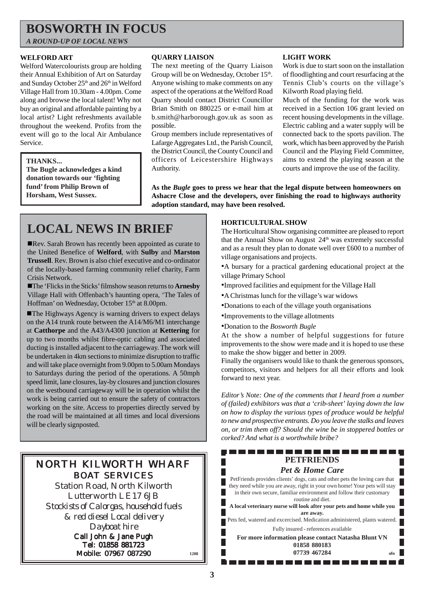## **BOSWORTH IN FOCUS**

*A ROUND-UP OF LOCAL NEWS*

#### **WELFORD ART**

Welford Watercolourists group are holding their Annual Exhibition of Art on Saturday and Sunday October 25<sup>th</sup> and 26<sup>th</sup> in Welford Village Hall from 10.30am - 4.00pm. Come along and browse the local talent! Why not buy an original and affordable painting by a local artist? Light refreshments available throughout the weekend. Profits from the event will go to the local Air Ambulance Service.

#### **THANKS...**

**The Bugle acknowledges a kind donation towards our 'fighting fund' from Philip Brown of Horsham, West Sussex.**

#### **QUARRY LIAISON**

The next meeting of the Quarry Liaison Group will be on Wednesday, October 15<sup>th</sup>. Anyone wishing to make comments on any aspect of the operations at the Welford Road Quarry should contact District Councillor Brian Smith on 880225 or e-mail him at b.smith@harborough.gov.uk as soon as possible.

Group members include representatives of Lafarge Aggregates Ltd., the Parish Council, the District Council, the County Council and officers of Leicestershire Highways Authority.

#### **LIGHT WORK**

Work is due to start soon on the installation of floodlighting and court resurfacing at the Tennis Club's courts on the village's Kilworth Road playing field.

Much of the funding for the work was received in a Section 106 grant levied on recent housing developments in the village. Electric cabling and a water supply will be connected back to the sports pavilion. The work, which has been approved by the Parish Council and the Playing Field Committee, aims to extend the playing season at the courts and improve the use of the facility.

**As the** *Bugle* **goes to press we hear that the legal dispute between homeowners on Ashacre Close and the developers, over finishing the road to highways authority adoption standard, may have been resolved.**

## **LOCAL NEWS IN BRIEF**

!Rev. Sarah Brown has recently been appointed as curate to the United Benefice of **Welford**, with **Sulby** and **Marston Trussell**. Rev. Brown is also chief executive and co-ordinator of the locally-based farming community relief charity, Farm Crisis Network.

!The 'Flicks in the Sticks' filmshow season returns to **Arnesby** Village Hall with Offenbach's haunting opera, 'The Tales of Hoffman' on Wednesday, October 15<sup>th</sup> at 8.00pm.

**The Highways Agency is warning drivers to expect delays** on the A14 trunk route between the A14/M6/M1 interchange at **Catthorpe** and the A43/A4300 junction at **Kettering** for up to two months whilst fibre-optic cabling and associated ducting is installed adjacent to the carriageway. The work will be undertaken in 4km sections to minimize disruption to traffic and will take place overnight from 9.00pm to 5.00am Mondays to Saturdays during the period of the operations. A 50mph speed limit, lane closures, lay-by closures and junction closures on the westbound carriageway will be in operation whilst the work is being carried out to ensure the safety of contractors working on the site. Access to properties directly served by the road will be maintained at all times and local diversions will be clearly signposted.

### NORTH KILWORTH WHARF BOAT SERVICES

Station Road, North Kilworth Lutterworth LE17 6JB *Stockists of Calorgas, household fuels & red diesel Local delivery Dayboat hire* Call John & Jane Pugh

Tel: 01858 881723 Mobile: 07967 087290 **<sup>1208</sup>**

#### **HORTICULTURAL SHOW**

The Horticultural Show organising committee are pleased to report that the Annual Show on August  $24<sup>th</sup>$  was extremely successful and as a result they plan to donate well over £600 to a number of village organisations and projects.

•A bursary for a practical gardening educational project at the village Primary School

- •Improved facilities and equipment for the Village Hall
- •A Christmas lunch for the village's war widows
- •Donations to each of the village youth organisations
- •Improvements to the village allotments
- •Donation to the *Bosworth Bugle*

At the show a number of helpful suggestions for future improvements to the show were made and it is hoped to use these to make the show bigger and better in 2009.

Finally the organisers would like to thank the generous sponsors, competitors, visitors and helpers for all their efforts and look forward to next year.

*Editor's Note: One of the comments that I heard from a number of (failed) exhibitors was that a 'crib-sheet' laying down the law on how to display the various types of produce would be helpful to new and prospective entrants. Do you leave the stalks and leaves on, or trim them off? Should the wine be in stoppered bottles or corked? And what is a worthwhile bribe?*

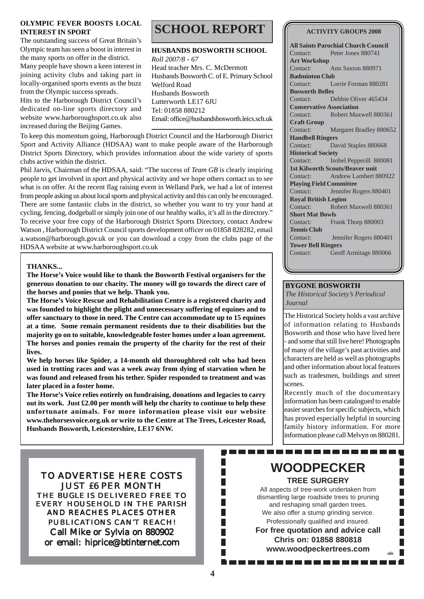#### **OLYMPIC FEVER BOOSTS LOCAL INTEREST IN SPORT**

The outstanding success of Great Britain's Olympic team has seen a boost in interest in the many sports on offer in the district. Many people have shown a keen interest in joining activity clubs and taking part in locally-organised sports events as the buzz

from the Olympic success spreads. Hits to the Harborough District Council's dedicated on-line sports directory and website www.harboroughsport.co.uk also increased during the Beijing Games.

To keep this momentum going, Harborough District Council and the Harborough District Sport and Activity Alliance (HDSAA) want to make people aware of the Harborough District Sports Directory, which provides information about the wide variety of sports clubs active within the district.

Phil Jarvis, Chairman of the HDSAA, said: "The success of *Team GB* is clearly inspiring people to get involved in sport and physical activity and we hope others contact us to see what is on offer. At the recent flag raising event in Welland Park, we had a lot of interest from people asking us about local sports and physical activity and this can only be encouraged. There are some fantastic clubs in the district, so whether you want to try your hand at cycling, fencing, dodgeball or simply join one of our healthy walks, it's all in the directory." To receive your free copy of the Harborough District Sports Directory, contact Andrew Watson , Harborough District Council sports development officer on 01858 828282, email a.watson@harborough.gov.uk or you can download a copy from the clubs page of the HDSAA website at www.harboroughsport.co.uk

#### **THANKS...**

**The Horse's Voice would like to thank the Bosworth Festival organisers for the generous donation to our charity. The money will go towards the direct care of the horses and ponies that we help. Thank you.**

**The Horse's Voice Rescue and Rehabilitation Centre is a registered charity and was founded to highlight the plight and unnecessary suffering of equines and to offer sanctuary to those in need. The Centre can accommodate up to 15 equines at a time. Some remain permanent residents due to their disabilities but the majority go on to suitable, knowledgeable foster homes under a loan agreement. The horses and ponies remain the property of the charity for the rest of their lives.**

**We help horses like Spider, a 14-month old thoroughbred colt who had been used in trotting races and was a week away from dying of starvation when he was found and released from his tether. Spider responded to treatment and was later placed in a foster home.**

**The Horse's Voice relies entirely on fundraising, donations and legacies to carry out its work. Just £2.00 per month will help the charity to continue to help these unfortunate animals. For more information please visit our website www.thehorsesvoice.org.uk or write to the Centre at The Trees, Leicester Road, Husbands Bosworth, Leicestershire, LE17 6NW.**

**SCHOOL REPORT**

**HUSBANDS BOSWORTH SCHOOL** *Roll 2007/8 - 67* Head teacher Mrs. C. McDermott Husbands Bosworth C. of E. Primary School Welford Road Husbands Bosworth Lutterworth LE17 6JU Tel: 01858 880212 Email: office@husbandsbosworth.leics.sch.uk

#### **ACTIVITY GROUPS 2008**

**All Saints Parochial Church Council** Contact: Peter Jones 880741 **Art Workshop** Contact: Ann Saxton 880971 **Badminton Club** Contact: Lorrie Forman 880281 **Bosworth Belles** Contact: Debbie Oliver 465434 **Conservative Association** Contact: Robert Maxwell 880361 **Craft Group** Contact: Margaret Bradley 880652 **Handbell Ringers** Contact: David Staples 880668 **Historical Society** Contact: Isobel Pepperill 880081 **1st Kilworth Scouts/Beaver unit** Contact: Andrew Lambert 880922 **Playing Field Committee** Contact: Jennifer Rogers 880401 **Royal British Legion** Contact: Robert Maxwell 880361 **Short Mat Bowls** Contact: Frank Thorp 880003 **Tennis Club** Contact: Jennifer Rogers 880401 **Tower Bell Ringers** Contact: Geoff Armitage 880066

#### **BYGONE BOSWORTH**

*The Historical Society's Periodical Journal*

The Historical Society holds a vast archive of information relating to Husbands Bosworth and those who have lived here - and some that still live here! Photographs of many of the village's past activities and characters are held as well as photographs and other information about local features such as tradesmen, buildings and street scenes.

Recently much of the documentary information has been catalogued to enable easier searches for specific subjects, which has proved especially helpful in sourcing family history information. For more information please call Melvyn on 880281.

TO ADVERTISE HERE COSTS JUST £6 PER MONTH THE *BUGLE* IS DELIVERED FREE TO EVERY HOUSEHOLD IN THE PARISH AND REACHES PLACES OTHER PUBLICATIONS CAN'T REACH! Call Mike or Sylvia on 880902 or email: hiprice@btinternet.com

### **WOODPECKER TREE SURGERY**

-----------------

All aspects of tree-work undertaken from dismantling large roadside trees to pruning and reshaping small garden trees. We also offer a stump grinding service. Professionally qualified and insured. **For free quotation and advice call Chris on: 01858 880818**

**www.woodpeckertrees.com ufn**

--------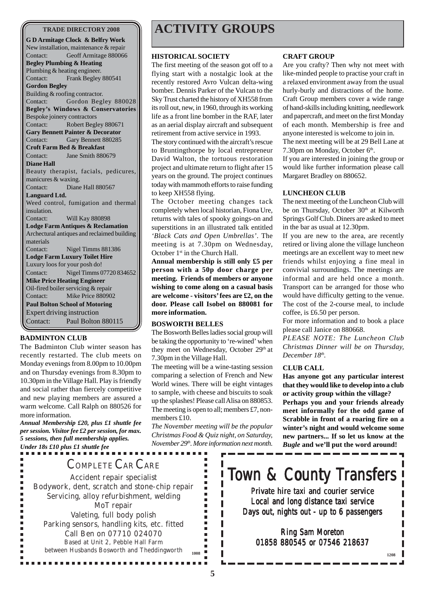#### **TRADE DIRECTORY 2008**

**G D Armitage Clock & Belfry Work** New installation, maintenance & repair Contact: Geoff Armitage 880066 **Begley Plumbing & Heating** Plumbing & heating engineer. Contact: Frank Begley 880541 **Gordon Begley** Building & roofing contractor. Contact: Gordon Begley 880028 **Begley's Windows & Conservatories** Bespoke joinery contractors Contact: Robert Begley 880671 **Gary Bennett Painter & Decorator** Contact: Gary Bennett 880285 **Croft Farm Bed & Breakfast** Contact: Jane Smith 880679 **Diane Hall** Beauty therapist, facials, pedicures, manicures & waxing. Contact: Diane Hall 880567 **Languard Ltd.** Weed control, fumigation and thermal insulation. Contact: Will Kay 880898 **Lodge Farm Antiques & Reclamation** Archectural antiques and reclaimed building materials Contact: Nigel Timms 881386 **Lodge Farm Luxury Toilet Hire** Luxury loos for your posh do! Contact: Nigel Timms 07720 834652 **Mike Price Heating Engineer** Oil-fired boiler servicing & repair Contact: Mike Price 880902 **Paul Bolton School of Motoring** Expert driving instruction Contact: Paul Bolton 880115

#### **BADMINTON CLUB**

×

The Badminton Club winter season has recently restarted. The club meets on Monday evenings from 8.00pm to 10.00pm and on Thursday evenings from 8.30pm to 10.30pm in the Village Hall. Play is friendly and social rather than fiercely competitive and new playing members are assured a warm welcome. Call Ralph on 880526 for more information.

*Annual Membership £20, plus £1 shuttle fee per session. Visitor fee £2 per session, for max. 5 sessions, then full membership applies. Under 18s £10 plus £1 shuttle fee*

. . . . . . . . . . . . . . . . .

## **ACTIVITY GROUPS**

#### **HISTORICAL SOCIETY**

The first meeting of the season got off to a flying start with a nostalgic look at the recently restored Avro Vulcan delta-wing bomber. Dennis Parker of the Vulcan to the Sky Trust charted the history of XH558 from its roll out, new, in 1960, through its working life as a front line bomber in the RAF, later as an aerial display aircraft and subsequent retirement from active service in 1993.

The story continued with the aircraft's rescue to Bruntingthorpe by local entrepreneur David Walton, the tortuous restoration project and ultimate return to flight after 15 years on the ground. The project continues today with mammoth efforts to raise funding to keep XH558 flying.

The October meeting changes tack completely when local historian, Fiona Ure, returns with tales of spooky goings-on and superstitions in an illustrated talk entitled *'Black Cats and Open Umbrellas'*. The meeting is at 7.30pm on Wednesday, October 1<sup>st</sup> in the Church Hall.

**Annual membership is still only £5 per person with a 50p door charge per meeting. Friends of members or anyone wishing to come along on a casual basis are welcome - visitors' fees are £2, on the door. Please call Isobel on 880081 for more information.**

#### **BOSWORTH BELLES**

The Bosworth Belles ladies social group will be taking the opportunity to 're-wined' when they meet on Wednesday, October 29<sup>th</sup> at 7.30pm in the Village Hall.

The meeting will be a wine-tasting session comparing a selection of French and New World wines. There will be eight vintages to sample, with cheese and biscuits to soak up the splashes! Please call Alisa on 880853. The meeting is open to all; members £7, nonmembers £10.

*The November meeting will be the popular Christmas Food & Quiz night, on Saturday, November 29th. More information next month*.

٠

Г

#### **CRAFT GROUP**

Are you crafty? Then why not meet with like-minded people to practise your craft in a relaxed environment away from the usual hurly-burly and distractions of the home. Craft Group members cover a wide range of hand-skills including knitting, needlework and papercraft, and meet on the first Monday of each month. Membership is free and anyone interested is welcome to join in.

The next meeting will be at 29 Bell Lane at 7.30pm on Monday, October 6<sup>th</sup>.

If you are interested in joining the group or would like further information please call Margaret Bradley on 880652.

#### **LUNCHEON CLUB**

The next meeting of the Luncheon Club will be on Thursday, October 30<sup>th</sup> at Kilworth Springs Golf Club. Diners are asked to meet in the bar as usual at 12.30pm.

If you are new to the area, are recently retired or living alone the village luncheon meetings are an excellent way to meet new friends whilst enjoying a fine meal in convivial surroundings. The meetings are informal and are held once a month. Transport can be arranged for those who would have difficulty getting to the venue. The cost of the 2-course meal, to include coffee, is £6.50 per person.

For more information and to book a place please call Janice on 880668.

*PLEASE NOTE: The Luncheon Club Christmas Dinner will be on Thursday, December 18th.*

#### **CLUB CALL**

**Has anyone got any particular interest that they would like to develop into a club or activity group within the village? Perhaps you and your friends already meet informally for the odd game of Scrabble in front of a roaring fire on a winter's night and would welcome some new partners... If so let us know at the** *Bugle* **and we'll put the word around!**

**1208**

## COMPLETE CAR CARE

Accident repair specialist Bodywork, dent, scratch and stone-chip repair Servicing, alloy refurbishment, welding MoT repair Valeting, full body polish Parking sensors, handling kits, etc. fitted Call Ben on 07710 024070 Based at Unit 2, Pebble Hall Farm between Husbands Bosworth and Theddingworth **<sup>1008</sup>**

.............

# Town & County Transfers

Private hire taxi and courier service Local and long distance taxi service Days out, nights out - up to 6 passengers

### Ring Sam Moreton 01858 880545 or 07546 218637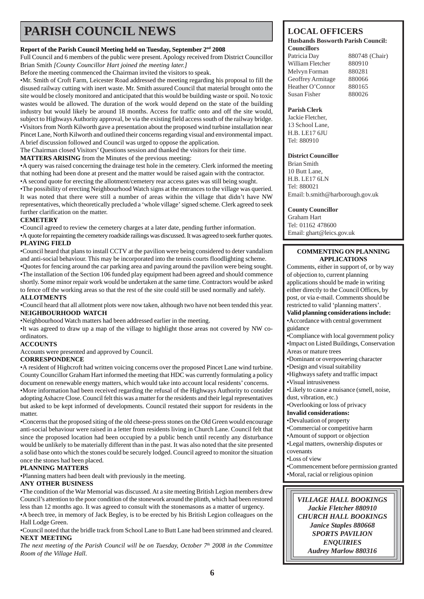## **PARISH COUNCIL NEWS**

#### **Report of the Parish Council Meeting held on Tuesday, September 2nd 2008**

Full Council and 6 members of the public were present. Apology received from District Councillor Brian Smith *[County Councillor Hart joined the meeting later.]*

Before the meeting commenced the Chairman invited the visitors to speak.

•Mr. Smith of Croft Farm, Leicester Road addressed the meeting regarding his proposal to fill the disused railway cutting with inert waste. Mr. Smith assured Council that material brought onto the site would be closely monitored and anticipated that this would be building waste or spoil. No toxic wastes would be allowed. The duration of the work would depend on the state of the building industry but would likely be around 18 months. Access for traffic onto and off the site would, subject to Highways Authority approval, be via the existing field access south of the railway bridge. •Visitors from North Kilworth gave a presentation about the proposed wind turbine installation near Pincet Lane, North Kilworth and outlined their concerns regarding visual and environmental impact. A brief discussion followed and Council was urged to oppose the application.

The Chairman closed Visitors' Questions session and thanked the visitors for their time.

**MATTERS ARISING** from the Minutes of the previous meeting:

•A query was raised concerning the drainage test hole in the cemetery. Clerk informed the meeting that nothing had been done at present and the matter would be raised again with the contractor. •A second quote for erecting the allotment/cemetery rear access gates was still being sought.

•The possibility of erecting Neighbourhood Watch signs at the entrances to the village was queried. It was noted that there were still a number of areas within the village that didn't have NW representatives, which theoretically precluded a 'whole village' signed scheme. Clerk agreed to seek further clarification on the matter.

#### **CEMETERY**

•Council agreed to review the cemetery charges at a later date, pending further information.

•A quote for repainting the cemetery roadside railings was discussed. It was agreed to seek further quotes. **PLAYING FIELD**

•Council heard that plans to install CCTV at the pavilion were being considered to deter vandalism and anti-social behaviour. This may be incorporated into the tennis courts floodlighting scheme.

•Quotes for fencing around the car parking area and paving around the pavilion were being sought. •The installation of the Section 106 funded play equipment had been agreed and should commence shortly. Some minor repair work would be undertaken at the same time. Contractors would be asked to fence off the working areas so that the rest of the site could still be used normally and safely. **ALLOTMENTS**

•Council heard that all allotment plots were now taken, although two have not been tended this year. **NEIGHBOURHOOD WATCH**

•Neighbourhood Watch matters had been addressed earlier in the meeting.

•It was agreed to draw up a map of the village to highlight those areas not covered by NW coordinators.

#### **ACCOUNTS**

Accounts were presented and approved by Council.

#### **CORRESPONDENCE**

•A resident of Highcroft had written voicing concerns over the proposed Pincet Lane wind turbine. County Councillor Graham Hart informed the meeting that HDC was currently formulating a policy document on renewable energy matters, which would take into account local residents' concerns. •More information had been received regarding the refusal of the Highways Authority to consider adopting Ashacre Close. Council felt this was a matter for the residents and their legal representatives but asked to be kept informed of developments. Council restated their support for residents in the matter.

•Concerns that the proposed siting of the old cheese-press stones on the Old Green would encourage anti-social behaviour were raised in a letter from residents living in Church Lane. Council felt that since the proposed location had been occupied by a public bench until recently any disturbance would be unlikely to be materially different than in the past. It was also noted that the site presented a solid base onto which the stones could be securely lodged. Council agreed to monitor the situation once the stones had been placed.

#### **PLANNING MATTERS**

•Planning matters had been dealt with previously in the meeting.

#### **ANY OTHER BUSINESS**

•The condition of the War Memorial was discussed. At a site meeting British Legion members drew Council's attention to the poor condition of the stonework around the plinth, which had been restored less than 12 months ago. It was agreed to consult with the stonemasons as a matter of urgency.

•A beech tree, in memory of Jack Begley, is to be erected by his British Legion colleagues on the Hall Lodge Green.

#### •Council noted that the bridle track from School Lane to Butt Lane had been strimmed and cleared. **NEXT MEETING**

*The next meeting of the Parish Council will be on Tuesday, October 7th 2008 in the Committee Room of the Village Hall.*

### **LOCAL OFFICERS**

#### **Husbands Bosworth Parish Council: Councillors**

Patricia Day 880748 (Chair) William Fletcher 880910 Melvyn Forman 880281 Geoffrey Armitage 880066 Heather O'Connor 880165 Susan Fisher 880026

#### **Parish Clerk**

Jackie Fletcher, 13 School Lane, H.B. LE17 6JU Tel: 880910

#### **District Councillor**

Brian Smith 10 Butt Lane, H.B. LE17 6LN Tel: 880021 Email: b.smith@harborough.gov.uk

#### **County Councillor**

Graham Hart Tel: 01162 478600 Email: ghart@leics.gov.uk

#### **COMMENTING ON PLANNING APPLICATIONS**

Comments, either in support of, or by way of objection to, current planning applications should be made in writing either directly to the Council Offices, by post, or via e-mail. Comments should be restricted to valid 'planning matters'.

**Valid planning considerations include:** •Accordance with central government guidance

•Compliance with local government policy •Impact on Listed Buildings, Conservation Areas or mature trees

•Dominant or overpowering character

- •Design and visual suitability
- •Highways safety and traffic impact

•Visual intrusiveness

•Likely to cause a nuisance (smell, noise, dust, vibration, etc.)

•Overlooking or loss of privacy

**Invalid considerations:**

•Devaluation of property

- •Commercial or competitive harm
- •Amount of support or objection
- •Legal matters, ownership disputes or covenants

•Loss of view

•Commencement before permission granted •Moral, racial or religious opinion

*VILLAGE HALL BOOKINGS Jackie Fletcher 880910 CHURCH HALL BOOKINGS Janice Staples 880668 SPORTS PAVILION ENQUIRIES Audrey Marlow 880316*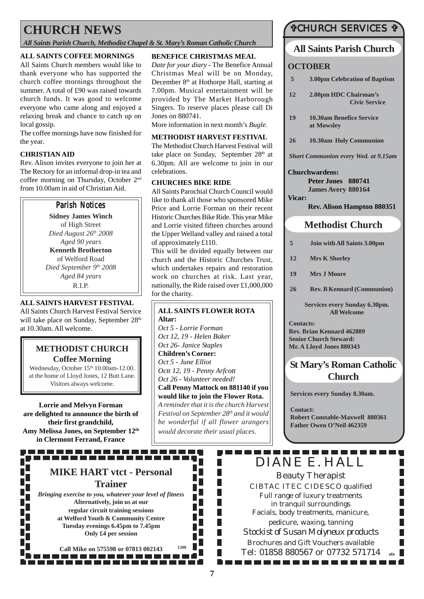## **CHURCH NEWS**

*All Saints Parish Church, Methodist Chapel & St. Mary's Roman Catholic Church*

#### **ALL SAINTS COFFEE MORNINGS**

All Saints Church members would like to thank everyone who has supported the church coffee mornings throughout the summer. A total of £90 was raised towards church funds. It was good to welcome everyone who came along and enjoyed a relaxing break and chance to catch up on local gossip.

The coffee mornings have now finished for the year.

#### **CHRISTIAN AID**

Rev. Alison invites everyone to join her at The Rectory for an informal drop-in tea and coffee morning on Thursday, October 2nd from 10.00am in aid of Christian Aid.

#### Parish Notices

**Sidney James Winch** of High Street *Died August 26th 2008 Aged 90 years* **Kenneth Brotherton** of Welford Road *Died September 9th 2008 Aged 84 years* R.I.P.

#### **ALL SAINTS HARVEST FESTIVAL**

All Saints Church Harvest Festival Service will take place on Sunday, September 28<sup>th</sup> at 10.30am. All welcome.

#### **METHODIST CHURCH Coffee Morning**

Wednesday, October 15<sup>th</sup> 10.00am-12.00. at the home of Lloyd Jones, 12 Butt Lane. Visitors always welcome.

**Lorrie and Melvyn Forman are delighted to announce the birth of their first grandchild, Amy Melissa Jones, on September 12th in Clermont Ferrand, France**

## **MIKE HART vtct - Personal Trainer**

,,,,,,,,,,,,,,,,,,,,,,,,,,

*Bringing exercise to you, whatever your level of fitness* **Alternatively, join us at our regular circuit training sessions at Welford Youth & Community Centre Tuesday evenings 6.45pm to 7.45pm Only £4 per session**

**Call Mike on 575598 or 07813 002143 <sup>1208</sup>** 

#### **BENEFICE CHRISTMAS MEAL**

*Date for your diary* - The Benefice Annual Christmas Meal will be on Monday, December 8<sup>th</sup> at Hothorpe Hall, starting at 7.00pm. Musical entertainment will be provided by The Market Harborough Singers. To reserve places please call Di Jones on 880741.

More information in next month's *Bugle*.

#### **METHODIST HARVEST FESTIVAL**

The Methodist Church Harvest Festival will take place on Sunday, September 28<sup>th</sup> at 6.30pm. All are welcome to join in our celebrations.

#### **CHURCHES BIKE RIDE**

All Saints Parochial Church Council would like to thank all those who sponsored Mike Price and Lorrie Forman on their recent Historic Churches Bike Ride. This year Mike and Lorrie visited fifteen churches around the Upper Welland valley and raised a total of approximately £110.

This will be divided equally between our church and the Historic Churches Trust, which undertakes repairs and restoration work on churches at risk. Last year, nationally, the Ride raised over £1,000,000 for the charity.

**ALL SAINTS FLOWER ROTA Altar:** *Oct 5 - Lorrie Forman Oct 12, 19 - Helen Baker Oct 26- Janice Staples* **Children's Corner:** *Oct 5 - June Elliot Octt 12, 19 - Penny Arfcott Oct 26 - Volunteer needed!* **Call Penny Mattock on 881140 if you would like to join the Flower Rota.** *A reminder that it is the church Harvest Festival on September 28th and it would be wonderful if all flower arangers would decorate their usual places.*

> П П П П П П П П П П

### "CHURCH SERVICES "

### **All Saints Parish Church**

#### **OCTOBER**

- **5 3.00pm Celebration of Baptism**
- **12 2.00pm HDC Chairman's Civic Service**
- **19 10.30am Benefice Service at Mowsley**
- **26 10.30am Holy Communion**

*Short Communion every Wed. at 9.15am*

#### **Churchwardens:**

**Peter Jones 880741 James Avery 880164**

**Vicar:**

**Rev. Alison Hampton 880351**

### **Methodist Church**

- **5 Join with All Saints 3.00pm**
- **12 Mrs K Shorley**
- **19 Mrs J Moore**
- **26 Rev. B Kennard (Communion)**

**Services every Sunday 6.30pm. All Welcome**

**Contacts: Rev. Brian Kennard 462889 Senior Church Steward: Mr. A Lloyd Jones 880343**

### **St Mary's Roman Catholic Church**

**Services every Sunday 8.30am.**

**Contact: Robert Constable-Maxwell 880361 Father Owen O'Neil 462359**

. . . . . . . . . . . . .

# DIANE E. HALL

Beauty Therapist CIBTAC ITEC CIDESCO qualified Full range of luxury treatments in tranquil surroundings Facials, body treatments, manicure, pedicure, waxing, tanning *Stockist of Susan Molyneux products* Brochures and Gift Vouchers available Tel: 01858 880567 or 07732 571714 **ufn**

1 m m 1 l